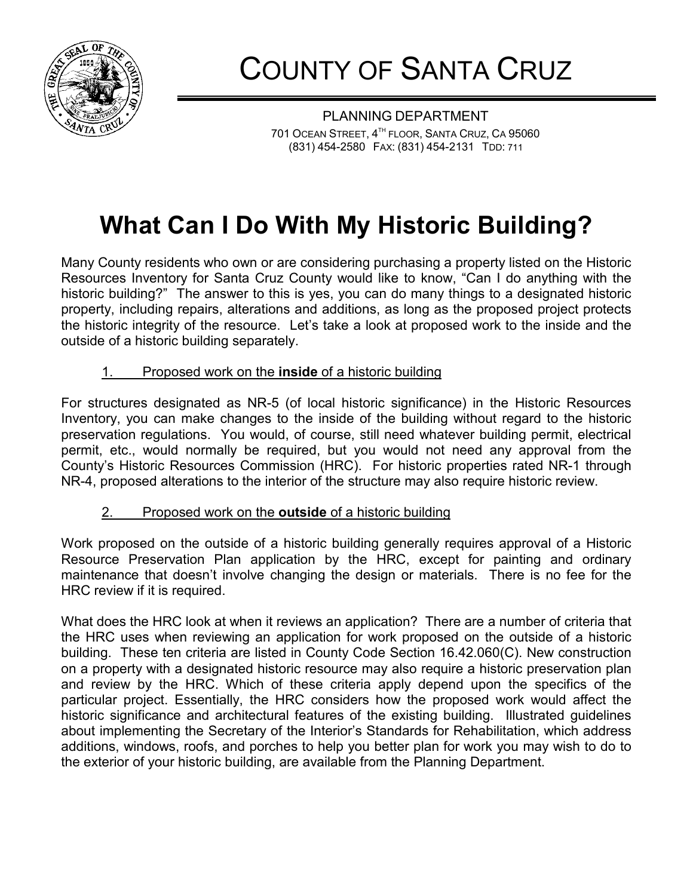

COUNTY OF SANTA CRUZ

PLANNING DEPARTMENT 701 OCEAN STREET, 4<sup>TH</sup> FLOOR, SANTA CRUZ, CA 95060 (831) 454-2580 FAX: (831) 454-2131 TDD: 711

## **What Can I Do With My Historic Building?**

Many County residents who own or are considering purchasing a property listed on the Historic Resources Inventory for Santa Cruz County would like to know, "Can I do anything with the historic building?" The answer to this is yes, you can do many things to a designated historic property, including repairs, alterations and additions, as long as the proposed project protects the historic integrity of the resource. Let's take a look at proposed work to the inside and the outside of a historic building separately.

## 1. Proposed work on the **inside** of a historic building

For structures designated as NR-5 (of local historic significance) in the Historic Resources Inventory, you can make changes to the inside of the building without regard to the historic preservation regulations. You would, of course, still need whatever building permit, electrical permit, etc., would normally be required, but you would not need any approval from the County's Historic Resources Commission (HRC). For historic properties rated NR-1 through NR-4, proposed alterations to the interior of the structure may also require historic review.

## 2. Proposed work on the **outside** of a historic building

Work proposed on the outside of a historic building generally requires approval of a Historic Resource Preservation Plan application by the HRC, except for painting and ordinary maintenance that doesn't involve changing the design or materials. There is no fee for the HRC review if it is required.

What does the HRC look at when it reviews an application? There are a number of criteria that the HRC uses when reviewing an application for work proposed on the outside of a historic building. These ten criteria are listed in County Code Section 16.42.060(C). New construction on a property with a designated historic resource may also require a historic preservation plan and review by the HRC. Which of these criteria apply depend upon the specifics of the particular project. Essentially, the HRC considers how the proposed work would affect the historic significance and architectural features of the existing building. Illustrated guidelines about implementing the Secretary of the Interior's Standards for Rehabilitation, which address additions, windows, roofs, and porches to help you better plan for work you may wish to do to the exterior of your historic building, are available from the Planning Department.